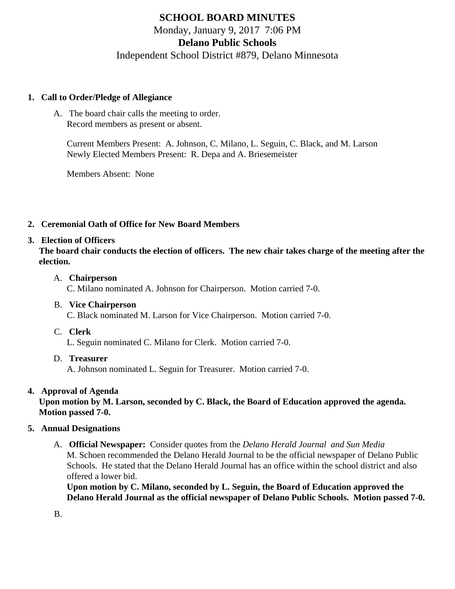# SCHOOL BOARD MINUTES Monday, January 9, 2017 7:06 PM Delano Public Schools Independent School District #879, Delano Minnesota

- 1. Call to Order/Pledge of Allegiance
	- A. The board chair calls the meeting to order. Record members as present or absent.

Current Members Present: A. Johnson, C. Milano, L. Seguin, C. Black, and M. Larson Newly Elected Members Present: R. Depa and A. Briesemeister

Members Absent: None

- 2. Ceremonial Oath of Office for New Board Members
- 3. Election of Officers

The board chair conducts the election of officers. The new chair takes charge of the meeting after the election.

- A. Chairperson C. Milano nominated A. Johnson for Chairperson. Motion carried 7-0.
- B. Vice Chairperson C. Black nominated M. Larson for Vice Chairperson. Motion carried 7-0.
- C. Clerk

L. Seguin nominated C. Milano for Clerk. Motion carried 7-0.

D. Treasurer A. Johnson nominated L. Seguin for Treasurer. Motion carried 7-0.

## 4. Approval of Agenda

Upon motion by M. Larson, seconded by C. Black, the Board of Education approved the agenda. Motion passed 7-0.

## 5. Annual Designations

A. Official Newspaper: Consider quotes from t[he Delano Herald Journa](/docs/district/District_Forms/Delano_Herald_Journal_2017_Quote.pdf)l and [Sun Media](/docs/district/District_Forms/Sun_Media_2017_Quote.pdf) M. Schoen recommended the Delano Herald Journal to be the official newspaper of Delano Public Schools. He stated that the Delano Herald Journal has an office within the school district and also offered a lower bid.

Upon motion by C. Milano, seconded by L. Seguin, the Board of Education approved the Delano Herald Journal as the official newspaper of Delano Public Schools. Motion passed 7-0.

B.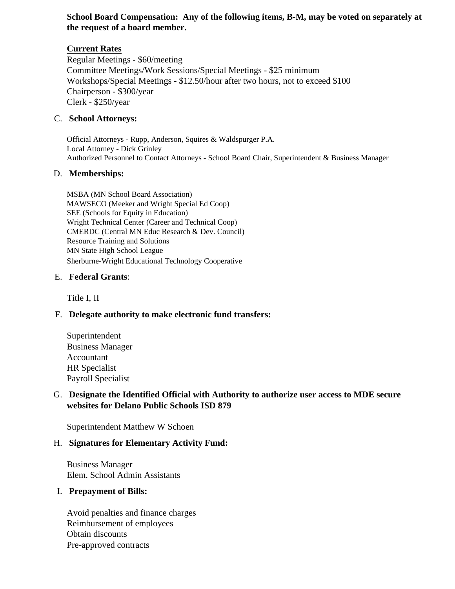### **School Board Compensation: Any of the following items, B-M, may be voted on separately at the request of a board member.**

## **Current Rates**

Regular Meetings - \$60/meeting Committee Meetings/Work Sessions/Special Meetings - \$25 minimum Workshops/Special Meetings *-* \$12.50/hour after two hours, not to exceed \$100 Chairperson - \$300/year Clerk - \$250/year

#### C. **School Attorneys:**

Official Attorneys - Rupp, Anderson, Squires & Waldspurger P.A. Local Attorney - Dick Grinley Authorized Personnel to Contact Attorneys - School Board Chair, Superintendent & Business Manager

#### D. **Memberships:**

MSBA (MN School Board Association) MAWSECO (Meeker and Wright Special Ed Coop) SEE (Schools for Equity in Education) Wright Technical Center (Career and Technical Coop) CMERDC (Central MN Educ Research & Dev. Council) Resource Training and Solutions MN State High School League Sherburne-Wright Educational Technology Cooperative

#### E. **Federal Grants**:

Title I, II

## F. **Delegate authority to make electronic fund transfers:**

Superintendent Business Manager Accountant HR Specialist Payroll Specialist

## G. **Designate the Identified Official with Authority to authorize user access to MDE secure websites for Delano Public Schools ISD 879**

Superintendent Matthew W Schoen

#### H. **Signatures for Elementary Activity Fund:**

Business Manager Elem. School Admin Assistants

#### I. **Prepayment of Bills:**

Avoid penalties and finance charges Reimbursement of employees Obtain discounts Pre-approved contracts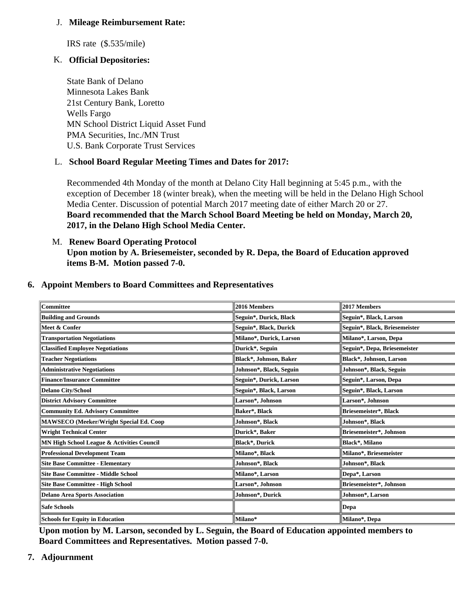J. Mileage Reimbursement Rate:

IRS rate (\$.535/mile)

K. Official Depositories:

State Bank of Delano Minnesota Lakes Bank 21st Century Bank, Loretto Wells Fargo MN School District Liquid Asset Fund PMA Securities, Inc./MN Trust U.S. Bank Corporate Trust Services

L. School Board Regular Meeting Times and Dates for 2017:

Recommended 4th Monday of the month at Delano City Hall beginning at 5:45 p.m., with the exception of December 18 (winter break), when the meeting will be held in the Delano High School Media Center. Discussion of potential March 2017 meeting date of either March 20 or 27. Board recommended that the March School Board Meeting be held on Monday, March 20, 2017, in the Delano High School Media Center.

M. [Renew Board Operating Protoco](/docs/district/District_Forms/SB_Operating_Protocol.pdf)l Upon motion by A. Briesemeister, seconded by R. Depa, the Board of Education approved items B-M. Motion passed 7-0.

| Committee                                  | 2016 Members            | 2017 Members                  |
|--------------------------------------------|-------------------------|-------------------------------|
| <b>Building and Grounds</b>                | Seguin*, Durick, Black  | Seguin*, Black, Larson        |
| Meet & Confer                              | Seguin*, Black, Durick  | Seguin*, Black, Briesemeister |
| <b>Transportation Negotiations</b>         | Milano*, Durick, Larson | Milano*, Larson, Depa         |
| <b>Classified Employee Negotiations</b>    | Durick*, Seguin         | Seguin*, Depa, Briesemeister  |
| <b>Teacher Negotiations</b>                | Black*, Johnson, Baker  | Black*, Johnson, Larson       |
| <b>Administrative Negotiations</b>         | Johnson*, Black, Seguin | Johnson*, Black, Seguin       |
| Finance/Insurance Committee                | Seguin*, Durick, Larson | Seguin*, Larson, Depa         |
| Delano City/School                         | Seguin*, Black, Larson  | Seguin*, Black, Larson        |
| <b>District Advisory Committee</b>         | Larson*, Johnson        | Larson*, Johnson              |
| Community Ed. Advisory Committee           | Baker*, Black           | Briesemeister*, Black         |
| MAWSECO (Meeker/Wright Special Ed. Coop    | Johnson*, Black         | Johnson*, Black               |
| Wright Technical Center                    | Durick*, Baker          | Briesemeister*, Johnson       |
| MN High School League & Activities Council | Black*, Durick          | Black*, Milano                |
| Professional Development Team              | Milano*, Black          | Milano*, Briesemeister        |
| Site Base Committee - Elementary           | Johnson*, Black         | Johnson*, Black               |
| Site Base Committee - Middle School        | Milano*, Larson         | Depa*, Larson                 |
| Site Base Committee - High School          | Larson*, Johnson        | Briesemeister*, Johnson       |
| Delano Area Sports Association             | Johnson*, Durick        | Johnson*, Larson              |
| Safe Schools                               |                         | ∥Depa                         |
| Schools for Equity in Education            | Milano*                 | Milano*, Depa                 |

6. Appoint Members to Board Committees and Representatives

Upon motion by M. Larson, seconded by L. Seguin, the Board of Education appointed members to Board Committees and Representatives. Motion passed 7-0.

7. Adjournment